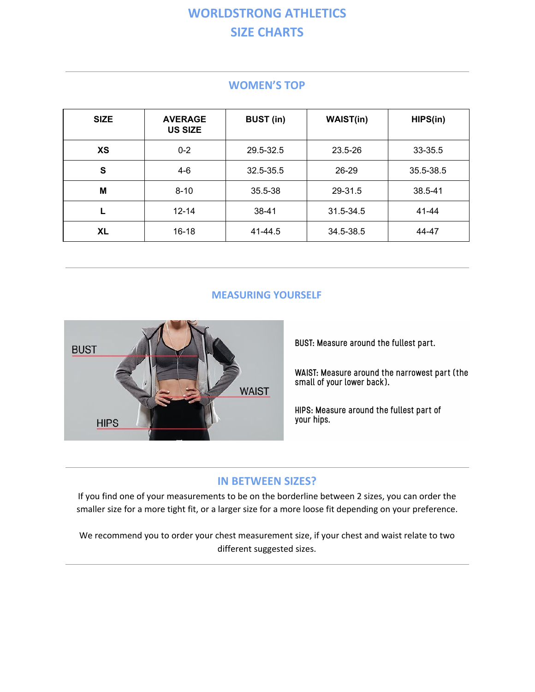# **WORLDSTRONG ATHLETICS SIZE CHARTS**

| <b>SIZE</b> | <b>AVERAGE</b><br><b>US SIZE</b> | <b>BUST (in)</b> | <b>WAIST(in)</b> | HIPS(in)  |
|-------------|----------------------------------|------------------|------------------|-----------|
| <b>XS</b>   | $0 - 2$                          | 29.5-32.5        | 23.5-26          | 33-35.5   |
| S           | $4-6$                            | 32.5-35.5        | 26-29            | 35.5-38.5 |
| M           | $8 - 10$                         | 35.5-38          | 29-31.5          | 38.5-41   |
|             | $12 - 14$                        | $38 - 41$        | 31.5-34.5        | 41-44     |
| <b>XL</b>   | $16 - 18$                        | 41-44.5          | 34.5-38.5        | 44-47     |

#### **WOMEN'S TOP**

#### **MEASURING YOURSELF**



BUST: Measure around the fullest part.

WAIST: Measure around the narrowest part (the small of your lower back).

HIPS: Measure around the fullest part of your hips.

#### **IN BETWEEN SIZES?**

If you find one of your measurements to be on the borderline between 2 sizes, you can order the smaller size for a more tight fit, or a larger size for a more loose fit depending on your preference.

We recommend you to order your chest measurement size, if your chest and waist relate to two different suggested sizes.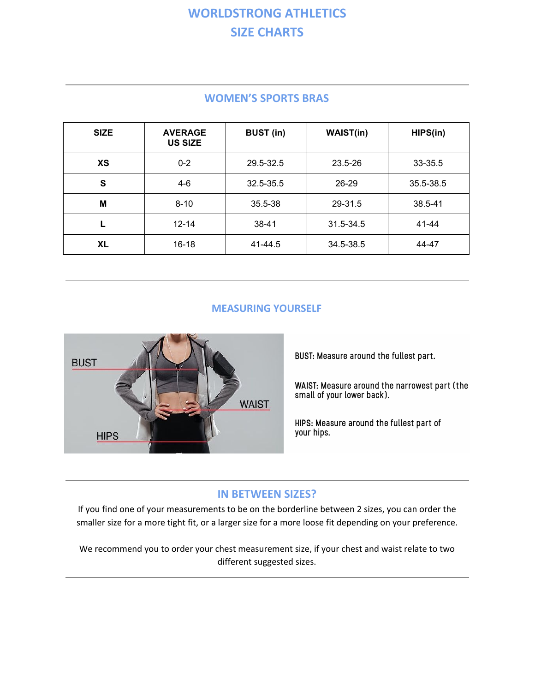# **WORLDSTRONG ATHLETICS SIZE CHARTS**

| <b>SIZE</b> | <b>AVERAGE</b><br><b>US SIZE</b> | <b>BUST</b> (in) | <b>WAIST(in)</b> | HIPS(in)  |
|-------------|----------------------------------|------------------|------------------|-----------|
| <b>XS</b>   | $0 - 2$                          | 29.5-32.5        | 23.5-26          | 33-35.5   |
| S           | $4-6$                            | 32.5-35.5        | 26-29            | 35.5-38.5 |
| M           | $8 - 10$                         | 35.5-38          | 29-31.5          | 38.5-41   |
|             | $12 - 14$                        | $38 - 41$        | 31.5-34.5        | 41-44     |
| XL          | $16 - 18$                        | 41-44.5          | 34.5-38.5        | 44-47     |

### **WOMEN'S SPORTS BRAS**

### **MEASURING YOURSELF**



BUST: Measure around the fullest part.

WAIST: Measure around the narrowest part (the small of your lower back).

HIPS: Measure around the fullest part of your hips.

## **IN BETWEEN SIZES?**

If you find one of your measurements to be on the borderline between 2 sizes, you can order the smaller size for a more tight fit, or a larger size for a more loose fit depending on your preference.

We recommend you to order your chest measurement size, if your chest and waist relate to two different suggested sizes.